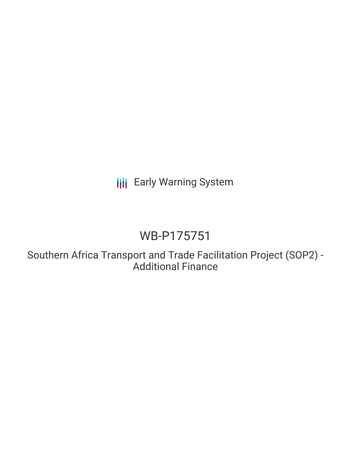## **III** Early Warning System

# WB-P175751

Southern Africa Transport and Trade Facilitation Project (SOP2) - Additional Finance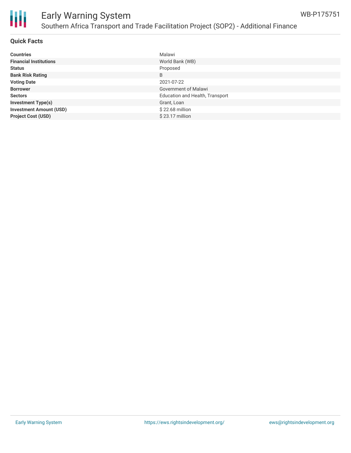

#### **Quick Facts**

| <b>Countries</b>               | Malawi                                 |
|--------------------------------|----------------------------------------|
| <b>Financial Institutions</b>  | World Bank (WB)                        |
| <b>Status</b>                  | Proposed                               |
| <b>Bank Risk Rating</b>        | B                                      |
| <b>Voting Date</b>             | 2021-07-22                             |
| <b>Borrower</b>                | Government of Malawi                   |
| <b>Sectors</b>                 | <b>Education and Health, Transport</b> |
| <b>Investment Type(s)</b>      | Grant, Loan                            |
| <b>Investment Amount (USD)</b> | \$22.68 million                        |
| <b>Project Cost (USD)</b>      | $$23.17$ million                       |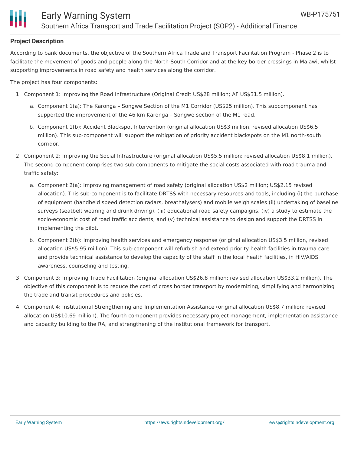### **Project Description**

According to bank documents, the objective of the Southern Africa Trade and Transport Facilitation Program - Phase 2 is to facilitate the movement of goods and people along the North-South Corridor and at the key border crossings in Malawi, whilst supporting improvements in road safety and health services along the corridor.

The project has four components:

- 1. Component 1: Improving the Road Infrastructure (Original Credit US\$28 million; AF US\$31.5 million).
	- a. Component 1(a): The Karonga Songwe Section of the M1 Corridor (US\$25 million). This subcomponent has supported the improvement of the 46 km Karonga – Songwe section of the M1 road.
	- b. Component 1(b): Accident Blackspot Intervention (original allocation US\$3 million, revised allocation US\$6.5 million). This sub-component will support the mitigation of priority accident blackspots on the M1 north-south corridor.
- 2. Component 2: Improving the Social Infrastructure (original allocation US\$5.5 million; revised allocation US\$8.1 million). The second component comprises two sub-components to mitigate the social costs associated with road trauma and traffic safety:
	- a. Component 2(a): Improving management of road safety (original allocation US\$2 million; US\$2.15 revised allocation). This sub-component is to facilitate DRTSS with necessary resources and tools, including (i) the purchase of equipment (handheld speed detection radars, breathalysers) and mobile weigh scales (ii) undertaking of baseline surveys (seatbelt wearing and drunk driving), (iii) educational road safety campaigns, (iv) a study to estimate the socio-economic cost of road traffic accidents, and (v) technical assistance to design and support the DRTSS in implementing the pilot.
	- b. Component 2(b): Improving health services and emergency response (original allocation US\$3.5 million, revised allocation US\$5.95 million). This sub-component will refurbish and extend priority health facilities in trauma care and provide technical assistance to develop the capacity of the staff in the local health facilities, in HIV/AIDS awareness, counseling and testing.
- 3. Component 3: Improving Trade Facilitation (original allocation US\$26.8 million; revised allocation US\$33.2 million). The objective of this component is to reduce the cost of cross border transport by modernizing, simplifying and harmonizing the trade and transit procedures and policies.
- 4. Component 4: Institutional Strengthening and Implementation Assistance (original allocation US\$8.7 million; revised allocation US\$10.69 million). The fourth component provides necessary project management, implementation assistance and capacity building to the RA, and strengthening of the institutional framework for transport.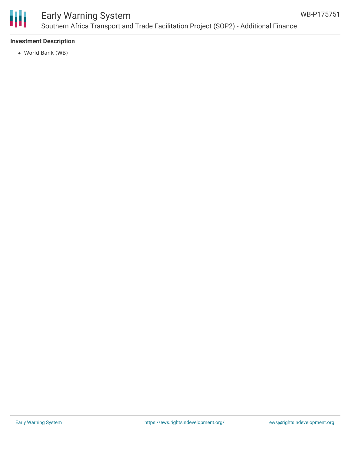

## Early Warning System Southern Africa Transport and Trade Facilitation Project (SOP2) - Additional Finance

#### **Investment Description**

World Bank (WB)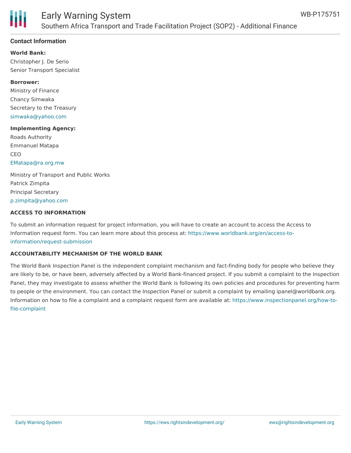

#### **Contact Information**

**World Bank:**

Christopher J. De Serio Senior Transport Specialist

#### **Borrower:**

Ministry of Finance Chancy Simwaka Secretary to the Treasury [simwaka@yahoo.com](mailto:simwaka@yahoo.com)

#### **Implementing Agency:**

Roads Authority Emmanuel Matapa **CEO** [EMatapa@ra.org.mw](mailto:EMatapa@ra.org.mw)

Ministry of Transport and Public Works Patrick Zimpita Principal Secretary [p.zimpita@yahoo.com](mailto:p.zimpita@yahoo.com)

#### **ACCESS TO INFORMATION**

To submit an information request for project information, you will have to create an account to access the Access to Information request form. You can learn more about this process at: [https://www.worldbank.org/en/access-to](https://www.worldbank.org/en/access-to-information/request-submission)information/request-submission

#### **ACCOUNTABILITY MECHANISM OF THE WORLD BANK**

The World Bank Inspection Panel is the independent complaint mechanism and fact-finding body for people who believe they are likely to be, or have been, adversely affected by a World Bank-financed project. If you submit a complaint to the Inspection Panel, they may investigate to assess whether the World Bank is following its own policies and procedures for preventing harm to people or the environment. You can contact the Inspection Panel or submit a complaint by emailing ipanel@worldbank.org. Information on how to file a complaint and a complaint request form are available at: [https://www.inspectionpanel.org/how-to](https://www.inspectionpanel.org/how-to-file-complaint)file-complaint